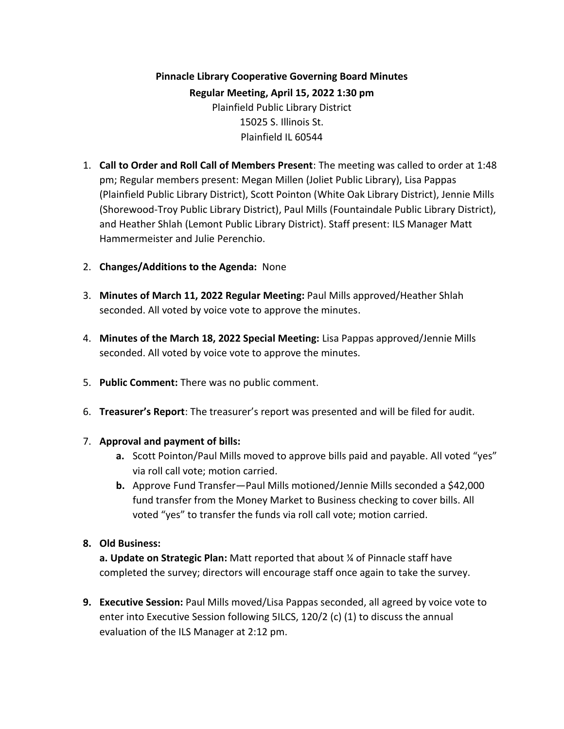**Pinnacle Library Cooperative Governing Board Minutes Regular Meeting, April 15, 2022 1:30 pm** Plainfield Public Library District 15025 S. Illinois St. Plainfield IL 60544

- 1. **Call to Order and Roll Call of Members Present**: The meeting was called to order at 1:48 pm; Regular members present: Megan Millen (Joliet Public Library), Lisa Pappas (Plainfield Public Library District), Scott Pointon (White Oak Library District), Jennie Mills (Shorewood-Troy Public Library District), Paul Mills (Fountaindale Public Library District), and Heather Shlah (Lemont Public Library District). Staff present: ILS Manager Matt Hammermeister and Julie Perenchio.
- 2. **Changes/Additions to the Agenda:** None
- 3. **Minutes of March 11, 2022 Regular Meeting:** Paul Mills approved/Heather Shlah seconded. All voted by voice vote to approve the minutes.
- 4. **Minutes of the March 18, 2022 Special Meeting:** Lisa Pappas approved/Jennie Mills seconded. All voted by voice vote to approve the minutes.
- 5. **Public Comment:** There was no public comment.
- 6. **Treasurer's Report**: The treasurer's report was presented and will be filed for audit.

### 7. **Approval and payment of bills:**

- **a.** Scott Pointon/Paul Mills moved to approve bills paid and payable. All voted "yes" via roll call vote; motion carried.
- **b.** Approve Fund Transfer—Paul Mills motioned/Jennie Mills seconded a \$42,000 fund transfer from the Money Market to Business checking to cover bills. All voted "yes" to transfer the funds via roll call vote; motion carried.

# **8. Old Business:**

**a. Update on Strategic Plan:** Matt reported that about ¼ of Pinnacle staff have completed the survey; directors will encourage staff once again to take the survey.

**9. Executive Session:** Paul Mills moved/Lisa Pappas seconded, all agreed by voice vote to enter into Executive Session following 5ILCS, 120/2 (c) (1) to discuss the annual evaluation of the ILS Manager at 2:12 pm.